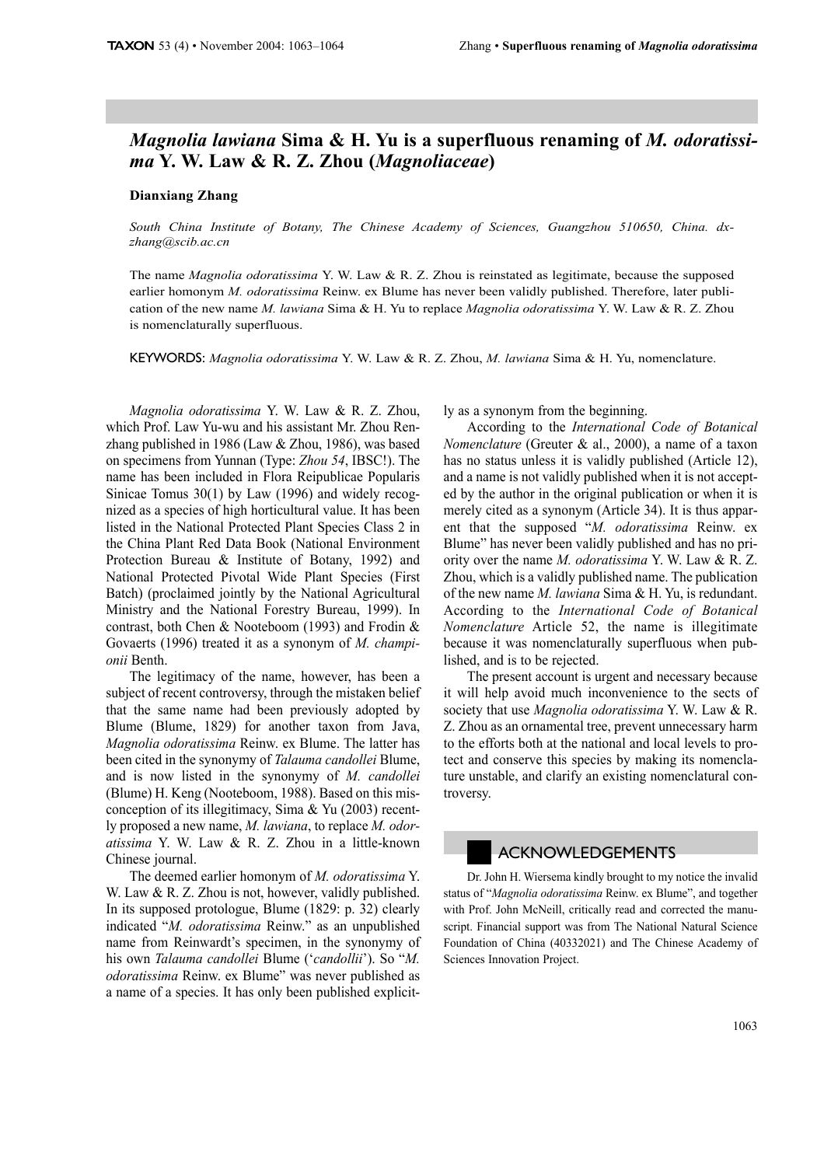## Magnolia lawiana Sima & H. Yu is a superfluous renaming of M. odoratissi*ma Y.W. Law & R.Z. Zhou (Magnoliaceae)*

## **Dianxiang Zhang**

South China Institute of Botany, The Chinese Academy of Sciences, Guangzhou 510650, China. dxzhang@scib.ac.cn

The name Magnolia odoratissima Y. W. Law & R. Z. Zhou is reinstated as legitimate, because the supposed earlier homonym M. odoratissima Reinw. ex Blume has never been validly published. Therefore, later publication of the new name M. lawiana Sima & H. Yu to replace Magnolia odoratissima Y. W. Law & R. Z. Zhou is nomenclaturally superfluous.

KEYWORDS: Magnolia odoratissima Y. W. Law & R. Z. Zhou, M. lawiana Sima & H. Yu, nomenclature.

Magnolia odoratissima Y. W. Law & R. Z. Zhou, which Prof. Law Yu-wu and his assistant Mr. Zhou Renzhang published in 1986 (Law  $&$  Zhou, 1986), was based on specimens from Yunnan (Type: Zhou 54, IBSC!). The name has been included in Flora Reipublicae Popularis Sinicae Tomus  $30(1)$  by Law (1996) and widely recognized as a species of high horticultural value. It has been listed in the National Protected Plant Species Class 2 in the China Plant Red Data Book (National Environment Protection Bureau & Institute of Botany, 1992) and National Protected Pivotal Wide Plant Species (First) Batch) (proclaimed jointly by the National Agricultural Ministry and the National Forestry Bureau, 1999). In contrast, both Chen & Nooteboom (1993) and Frodin & Govaerts (1996) treated it as a synonym of M. championii Benth.

The legitimacy of the name, however, has been a subject of recent controversy, through the mistaken belief that the same name had been previously adopted by Blume (Blume, 1829) for another taxon from Java, *Magnolia odoratissima* Reinw. ex Blume. The latter has been cited in the synonymy of Talauma candollei Blume, and is now listed in the synonymy of M. candollei (Blume) H. Keng (Nooteboom, 1988). Based on this misconception of its illegitimacy, Sima & Yu (2003) recently proposed a new name, M. lawiana, to replace M. odoratissima Y. W. Law & R. Z. Zhou in a little-known Chinese iournal.

The deemed earlier homonym of *M. odoratissima* Y. W. Law & R. Z. Zhou is not, however, validly published. In its supposed protologue, Blume (1829: p. 32) clearly indicated "M. odoratissima Reinw." as an unpublished name from Reinwardt's specimen, in the synonymy of his own Talauma candollei Blume ('candollii'). So "M. odoratissima Reinw. ex Blume" was never published as a name of a species. It has only been published explicitly as a synonym from the beginning.

According to the International Code of Botanical *Nomenclature* (Greuter & al., 2000), a name of a taxon has no status unless it is validly published (Article 12), and a name is not validly published when it is not accepted by the author in the original publication or when it is merely cited as a synonym (Article 34). It is thus apparent that the supposed "M. odoratissima Reinw. ex Blume" has never been validly published and has no priority over the name *M. odoratissima* Y. W. Law & R. Z. Zhou, which is a validly published name. The publication of the new name M. lawiana Sima & H. Yu, is redundant. According to the International Code of Botanical *Nomenclature* Article 52, the name is illegitimate because it was nomenclaturally superfluous when published, and is to be rejected.

The present account is urgent and necessary because it will help avoid much inconvenience to the sects of society that use Magnolia odoratissima Y. W. Law & R. Z. Zhou as an ornamental tree, prevent unnecessary harm to the efforts both at the national and local levels to protect and conserve this species by making its nomenclature unstable, and clarify an existing nomenclatural controversy.

## ACKNOWLEDGEMENTS

Dr. John H. Wiersema kindly brought to my notice the invalid status of "Magnolia odoratissima Reinw. ex Blume", and together with Prof. John McNeill, critically read and corrected the manuscript. Financial support was from The National Natural Science Foundation of China (40332021) and The Chinese Academy of Sciences Innovation Project.